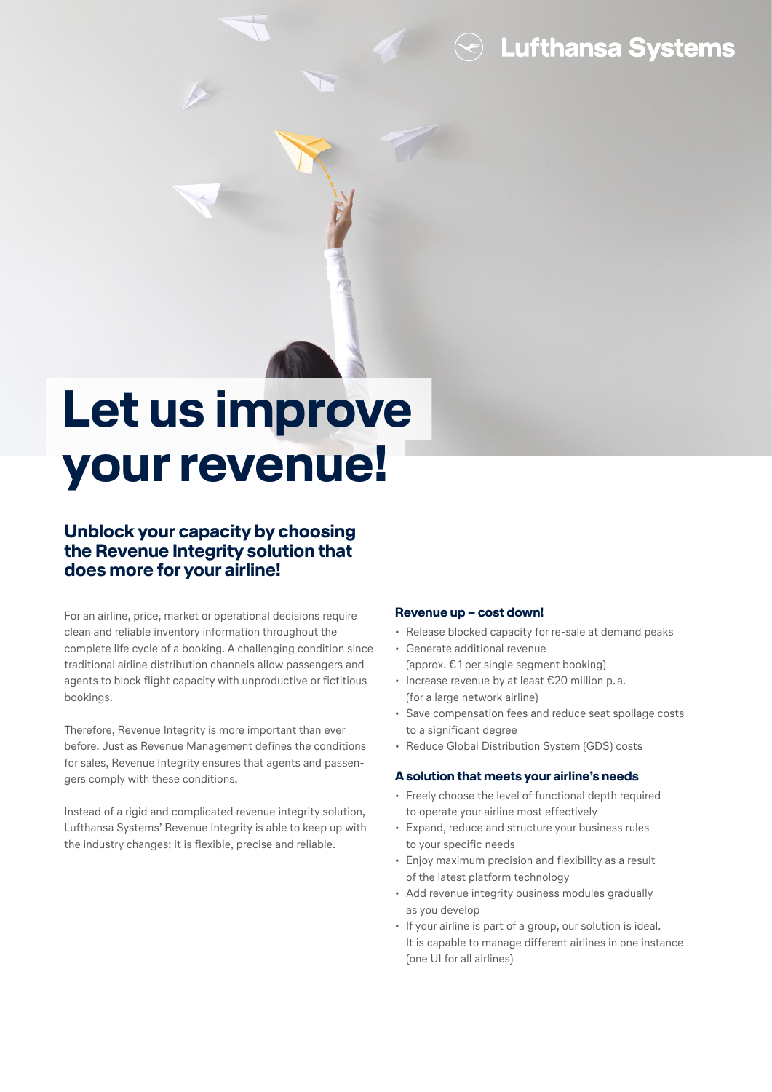**Lufthansa Systems** 

# **Let us improve your revenue!**

### **Unblock your capacity by choosing the Revenue Integrity solution that does more for your airline!**

For an airline, price, market or operational decisions require clean and reliable inventory information throughout the complete life cycle of a booking. A challenging condition since traditional airline distribution channels allow passengers and agents to block flight capacity with unproductive or fictitious bookings.

Therefore, Revenue Integrity is more important than ever before. Just as Revenue Management defines the conditions for sales, Revenue Integrity ensures that agents and passengers comply with these conditions.

Instead of a rigid and complicated revenue integrity solution, Lufthansa Systems' Revenue Integrity is able to keep up with the industry changes; it is flexible, precise and reliable.

#### **Revenue up – cost down!**

- Release blocked capacity for re-sale at demand peaks
- Generate additional revenue (approx. €1 per single segment booking)
- Increase revenue by at least €20 million p. a.
- (for a large network airline) • Save compensation fees and reduce seat spoilage costs to a significant degree
- Reduce Global Distribution System (GDS) costs

#### **A solution that meets your airline's needs**

- Freely choose the level of functional depth required to operate your airline most effectively
- Expand, reduce and structure your business rules to your specific needs
- Enjoy maximum precision and flexibility as a result of the latest platform technology
- Add revenue integrity business modules gradually as you develop
- If your airline is part of a group, our solution is ideal. It is capable to manage different airlines in one instance (one UI for all airlines)